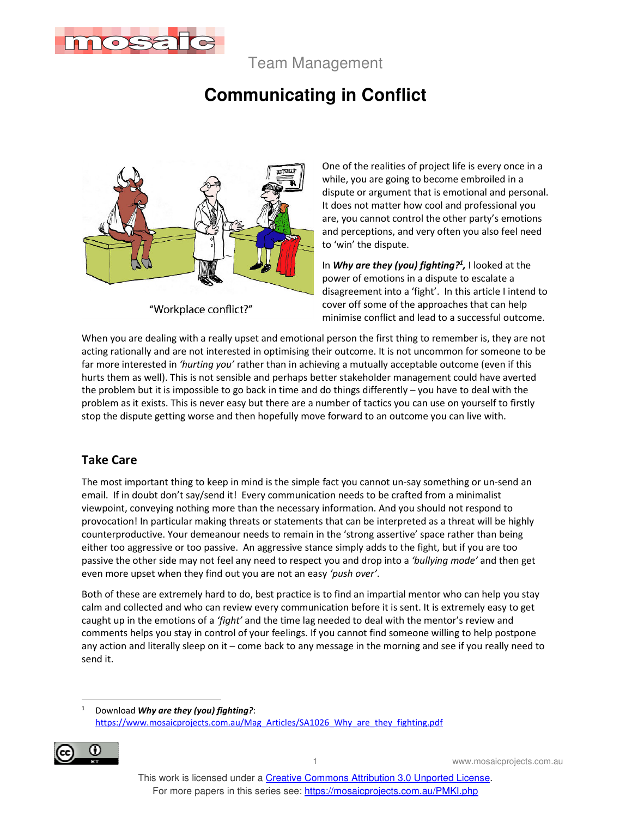

Team Management

## **Communicating in Conflict**



"Workplace conflict?"

One of the realities of project life is every once in a while, you are going to become embroiled in a dispute or argument that is emotional and personal. It does not matter how cool and professional you are, you cannot control the other party's emotions and perceptions, and very often you also feel need to 'win' the dispute.

In *Why are they (you) fighting?<sup>1</sup> ,* I looked at the power of emotions in a dispute to escalate a disagreement into a 'fight'. In this article I intend to cover off some of the approaches that can help minimise conflict and lead to a successful outcome.

When you are dealing with a really upset and emotional person the first thing to remember is, they are not acting rationally and are not interested in optimising their outcome. It is not uncommon for someone to be far more interested in *'hurting you'* rather than in achieving a mutually acceptable outcome (even if this hurts them as well). This is not sensible and perhaps better stakeholder management could have averted the problem but it is impossible to go back in time and do things differently – you have to deal with the problem as it exists. This is never easy but there are a number of tactics you can use on yourself to firstly stop the dispute getting worse and then hopefully move forward to an outcome you can live with.

## **Take Care**

The most important thing to keep in mind is the simple fact you cannot un-say something or un-send an email. If in doubt don't say/send it! Every communication needs to be crafted from a minimalist viewpoint, conveying nothing more than the necessary information. And you should not respond to provocation! In particular making threats or statements that can be interpreted as a threat will be highly counterproductive. Your demeanour needs to remain in the 'strong assertive' space rather than being either too aggressive or too passive. An aggressive stance simply adds to the fight, but if you are too passive the other side may not feel any need to respect you and drop into a *'bullying mode'* and then get even more upset when they find out you are not an easy *'push over'*.

Both of these are extremely hard to do, best practice is to find an impartial mentor who can help you stay calm and collected and who can review every communication before it is sent. It is extremely easy to get caught up in the emotions of a *'fight'* and the time lag needed to deal with the mentor's review and comments helps you stay in control of your feelings. If you cannot find someone willing to help postpone any action and literally sleep on it – come back to any message in the morning and see if you really need to send it.

<sup>1</sup> Download *Why are they (you) fighting?*: https://www.mosaicprojects.com.au/Mag\_Articles/SA1026\_Why\_are\_they\_fighting.pdf



1 www.mosaicprojects.com.au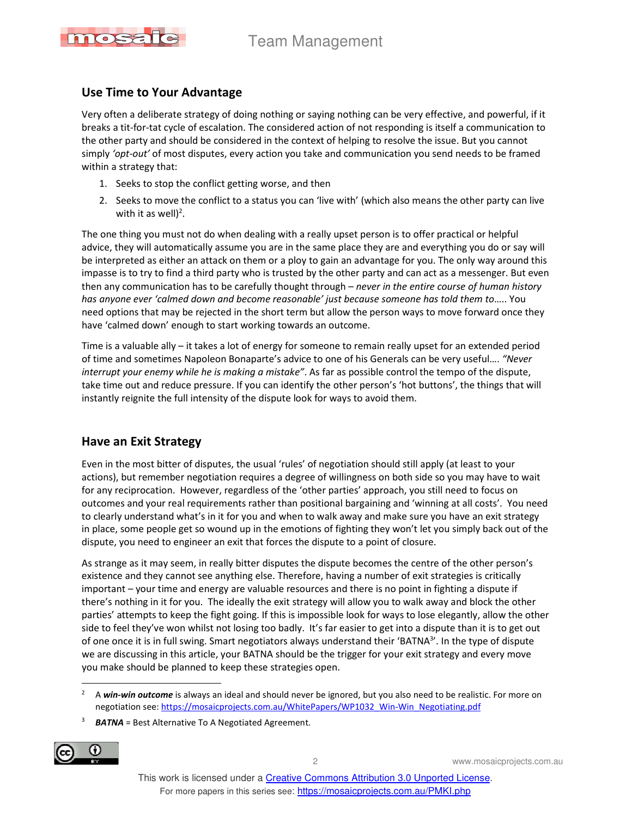

## **Use Time to Your Advantage**

Very often a deliberate strategy of doing nothing or saying nothing can be very effective, and powerful, if it breaks a tit-for-tat cycle of escalation. The considered action of not responding is itself a communication to the other party and should be considered in the context of helping to resolve the issue. But you cannot simply *'opt-out'* of most disputes, every action you take and communication you send needs to be framed within a strategy that:

- 1. Seeks to stop the conflict getting worse, and then
- 2. Seeks to move the conflict to a status you can 'live with' (which also means the other party can live with it as well)<sup>2</sup>.

The one thing you must not do when dealing with a really upset person is to offer practical or helpful advice, they will automatically assume you are in the same place they are and everything you do or say will be interpreted as either an attack on them or a ploy to gain an advantage for you. The only way around this impasse is to try to find a third party who is trusted by the other party and can act as a messenger. But even then any communication has to be carefully thought through – *never in the entire course of human history has anyone ever 'calmed down and become reasonable' just because someone has told them to*….. You need options that may be rejected in the short term but allow the person ways to move forward once they have 'calmed down' enough to start working towards an outcome.

Time is a valuable ally – it takes a lot of energy for someone to remain really upset for an extended period of time and sometimes Napoleon Bonaparte's advice to one of his Generals can be very useful…. *"Never interrupt your enemy while he is making a mistake"*. As far as possible control the tempo of the dispute, take time out and reduce pressure. If you can identify the other person's 'hot buttons', the things that will instantly reignite the full intensity of the dispute look for ways to avoid them.

## **Have an Exit Strategy**

Even in the most bitter of disputes, the usual 'rules' of negotiation should still apply (at least to your actions), but remember negotiation requires a degree of willingness on both side so you may have to wait for any reciprocation. However, regardless of the 'other parties' approach, you still need to focus on outcomes and your real requirements rather than positional bargaining and 'winning at all costs'. You need to clearly understand what's in it for you and when to walk away and make sure you have an exit strategy in place, some people get so wound up in the emotions of fighting they won't let you simply back out of the dispute, you need to engineer an exit that forces the dispute to a point of closure.

As strange as it may seem, in really bitter disputes the dispute becomes the centre of the other person's existence and they cannot see anything else. Therefore, having a number of exit strategies is critically important – your time and energy are valuable resources and there is no point in fighting a dispute if there's nothing in it for you. The ideally the exit strategy will allow you to walk away and block the other parties' attempts to keep the fight going. If this is impossible look for ways to lose elegantly, allow the other side to feel they've won whilst not losing too badly. It's far easier to get into a dispute than it is to get out of one once it is in full swing. Smart negotiators always understand their 'BATNA<sup>3</sup>'. In the type of dispute we are discussing in this article, your BATNA should be the trigger for your exit strategy and every move you make should be planned to keep these strategies open.

<sup>3</sup> *BATNA* = Best Alternative To A Negotiated Agreement.



2 www.mosaicprojects.com.au

<sup>2</sup> A *win-win outcome* is always an ideal and should never be ignored, but you also need to be realistic. For more on negotiation see: https://mosaicprojects.com.au/WhitePapers/WP1032\_Win-Win\_Negotiating.pdf